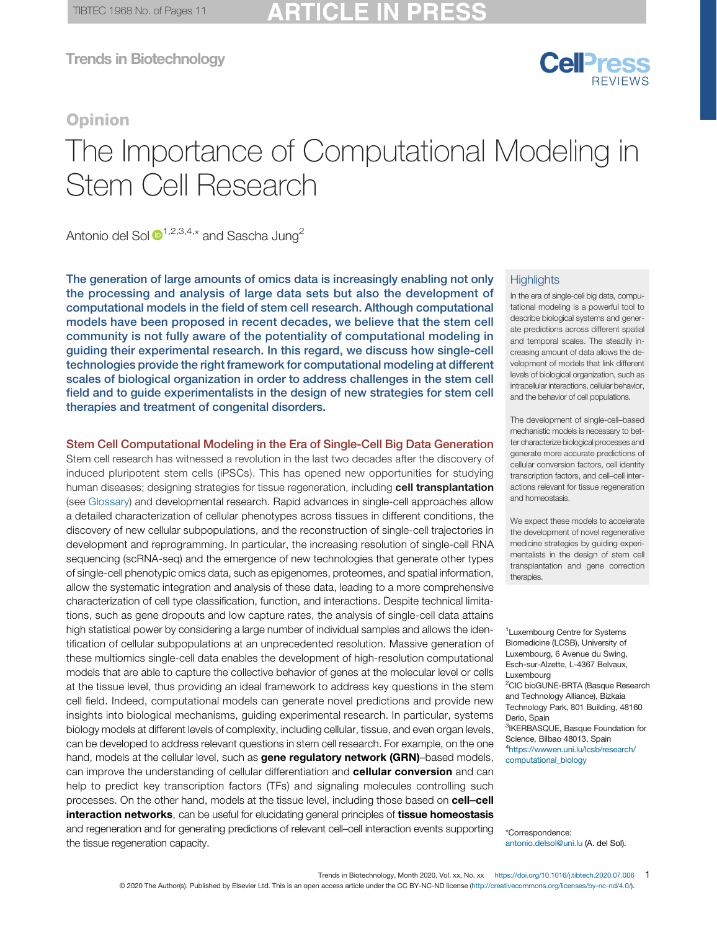## ICLE

Trends in Biotechnology

# **Cell**ress

## **Opinion**

## The Importance of Computational Modeling in Stem Cell Research

Antonio del Sol  $\mathbb{D}^{1,2,3,4,*}$  $\mathbb{D}^{1,2,3,4,*}$  $\mathbb{D}^{1,2,3,4,*}$  and Sascha Jung<sup>2</sup>

The generation of large amounts of omics data is increasingly enabling not only the processing and analysis of large data sets but also the development of computational models in the field of stem cell research. Although computational models have been proposed in recent decades, we believe that the stem cell community is not fully aware of the potentiality of computational modeling in guiding their experimental research. In this regard, we discuss how single-cell technologies provide the right framework for computational modeling at different scales of biological organization in order to address challenges in the stem cell field and to guide experimentalists in the design of new strategies for stem cell therapies and treatment of congenital disorders.

## Stem Cell Computational Modeling in the Era of Single-Cell Big Data Generation

Stem cell research has witnessed a revolution in the last two decades after the discovery of induced pluripotent stem cells (iPSCs). This has opened new opportunities for studying human diseases; designing strategies for tissue regeneration, including cell transplantation (see [Glossary\)](#page-1-0) and developmental research. Rapid advances in single-cell approaches allow a detailed characterization of cellular phenotypes across tissues in different conditions, the discovery of new cellular subpopulations, and the reconstruction of single-cell trajectories in development and reprogramming. In particular, the increasing resolution of single-cell RNA sequencing (scRNA-seq) and the emergence of new technologies that generate other types of single-cell phenotypic omics data, such as epigenomes, proteomes, and spatial information, allow the systematic integration and analysis of these data, leading to a more comprehensive characterization of cell type classification, function, and interactions. Despite technical limitations, such as gene dropouts and low capture rates, the analysis of single-cell data attains high statistical power by considering a large number of individual samples and allows the identification of cellular subpopulations at an unprecedented resolution. Massive generation of these multiomics single-cell data enables the development of high-resolution computational models that are able to capture the collective behavior of genes at the molecular level or cells at the tissue level, thus providing an ideal framework to address key questions in the stem cell field. Indeed, computational models can generate novel predictions and provide new insights into biological mechanisms, guiding experimental research. In particular, systems biology models at different levels of complexity, including cellular, tissue, and even organ levels, can be developed to address relevant questions in stem cell research. For example, on the one hand, models at the cellular level, such as **gene regulatory network (GRN)**–based models, can improve the understanding of cellular differentiation and **cellular conversion** and can help to predict key transcription factors (TFs) and signaling molecules controlling such processes. On the other hand, models at the tissue level, including those based on cell-cell interaction networks, can be useful for elucidating general principles of tissue homeostasis and regeneration and for generating predictions of relevant cell–cell interaction events supporting the tissue regeneration capacity.

## **Highlights**

In the era of single-cell big data, computational modeling is a powerful tool to describe biological systems and generate predictions across different spatial and temporal scales. The steadily increasing amount of data allows the development of models that link different levels of biological organization, such as intracellular interactions, cellular behavior, and the behavior of cell populations.

The development of single-cell–based mechanistic models is necessary to better characterize biological processes and generate more accurate predictions of cellular conversion factors, cell identity transcription factors, and cell–cell interactions relevant for tissue regeneration and homeostasis.

We expect these models to accelerate the development of novel regenerative medicine strategies by guiding experimentalists in the design of stem cell transplantation and gene correction therapies.

<sup>1</sup> Luxembourg Centre for Systems Biomedicine (LCSB), University of Luxembourg, 6 Avenue du Swing, Esch-sur-Alzette, L-4367 Belvaux, Luxembourg <sup>2</sup>CIC bioGUNE-BRTA (Basque Research and Technology Alliance), Bizkaia Technology Park, 801 Building, 48160 Derio, Spain <sup>3</sup>IKERBASQUE, Basque Foundation for Science, Bilbao 48013, Spain

4 [https://wwwen.uni.lu/lcsb/research/](https://wwwen.uni.lu/lcsb/research/computational_biology) [computational\\_biology](https://wwwen.uni.lu/lcsb/research/computational_biology)

\*Correspondence: antonio.delsol@uni.lu (A. del Sol).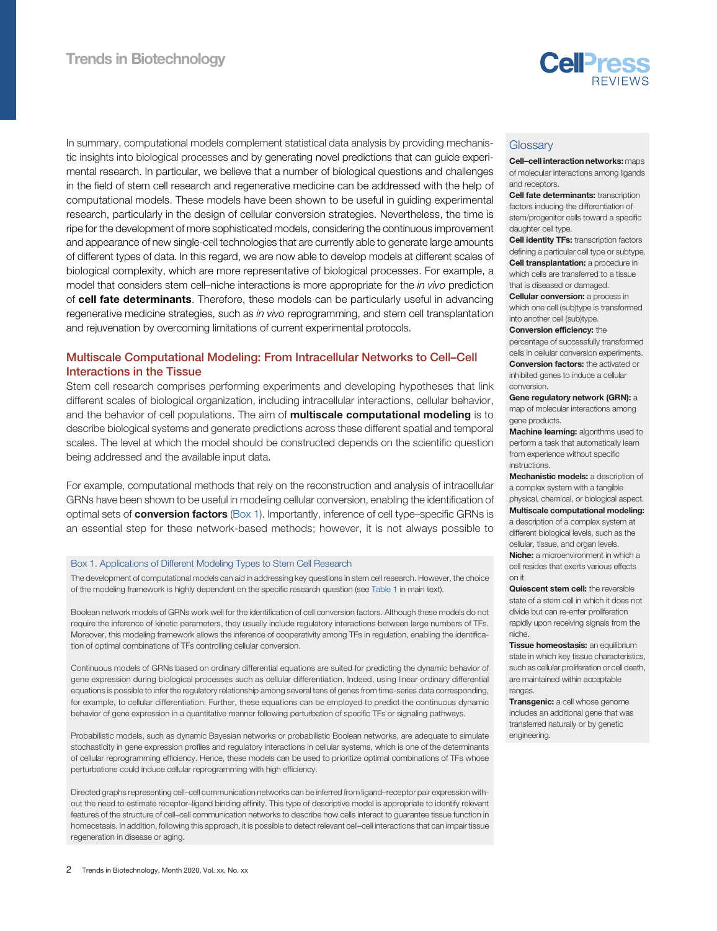

<span id="page-1-0"></span>In summary, computational models complement statistical data analysis by providing mechanistic insights into biological processes and by generating novel predictions that can guide experimental research. In particular, we believe that a number of biological questions and challenges in the field of stem cell research and regenerative medicine can be addressed with the help of computational models. These models have been shown to be useful in guiding experimental research, particularly in the design of cellular conversion strategies. Nevertheless, the time is ripe for the development of more sophisticated models, considering the continuous improvement and appearance of new single-cell technologies that are currently able to generate large amounts of different types of data. In this regard, we are now able to develop models at different scales of biological complexity, which are more representative of biological processes. For example, a model that considers stem cell–niche interactions is more appropriate for the in vivo prediction of cell fate determinants. Therefore, these models can be particularly useful in advancing regenerative medicine strategies, such as in vivo reprogramming, and stem cell transplantation and rejuvenation by overcoming limitations of current experimental protocols.

## Multiscale Computational Modeling: From Intracellular Networks to Cell–Cell Interactions in the Tissue

Stem cell research comprises performing experiments and developing hypotheses that link different scales of biological organization, including intracellular interactions, cellular behavior, and the behavior of cell populations. The aim of **multiscale computational modeling** is to describe biological systems and generate predictions across these different spatial and temporal scales. The level at which the model should be constructed depends on the scientific question being addressed and the available input data.

For example, computational methods that rely on the reconstruction and analysis of intracellular GRNs have been shown to be useful in modeling cellular conversion, enabling the identification of optimal sets of **conversion factors** (Box 1). Importantly, inference of cell type–specific GRNs is an essential step for these network-based methods; however, it is not always possible to

#### Box 1. Applications of Different Modeling Types to Stem Cell Research

The development of computational models can aid in addressing key questions in stem cell research. However, the choice of the modeling framework is highly dependent on the specific research question (see [Table 1](#page-2-0) in main text).

Boolean network models of GRNs work well for the identification of cell conversion factors. Although these models do not require the inference of kinetic parameters, they usually include regulatory interactions between large numbers of TFs. Moreover, this modeling framework allows the inference of cooperativity among TFs in regulation, enabling the identification of optimal combinations of TFs controlling cellular conversion.

Continuous models of GRNs based on ordinary differential equations are suited for predicting the dynamic behavior of gene expression during biological processes such as cellular differentiation. Indeed, using linear ordinary differential equations is possible to infer the regulatory relationship among several tens of genes from time-series data corresponding, for example, to cellular differentiation. Further, these equations can be employed to predict the continuous dynamic behavior of gene expression in a quantitative manner following perturbation of specific TFs or signaling pathways.

Probabilistic models, such as dynamic Bayesian networks or probabilistic Boolean networks, are adequate to simulate stochasticity in gene expression profiles and regulatory interactions in cellular systems, which is one of the determinants of cellular reprogramming efficiency. Hence, these models can be used to prioritize optimal combinations of TFs whose perturbations could induce cellular reprogramming with high efficiency.

Directed graphs representing cell–cell communication networks can be inferred from ligand–receptor pair expression without the need to estimate receptor–ligand binding affinity. This type of descriptive model is appropriate to identify relevant features of the structure of cell–cell communication networks to describe how cells interact to guarantee tissue function in homeostasis. In addition, following this approach, it is possible to detect relevant cell-cell interactions that can impair tissue regeneration in disease or aging.

### **Glossary**

Cell–cell interaction networks: maps of molecular interactions among ligands and receptors.

**Cell fate determinants:** transcription factors inducing the differentiation of stem/progenitor cells toward a specific daughter cell type.

**Cell identity TFs: transcription factors** defining a particular cell type or subtype. Cell transplantation: a procedure in which cells are transferred to a tissue that is diseased or damaged.

**Cellular conversion: a process in** which one cell (sub)type is transformed into another cell (sub)type.

## Conversion efficiency: the

percentage of successfully transformed cells in cellular conversion experiments. Conversion factors: the activated or inhibited genes to induce a cellular conversion.

#### Gene regulatory network (GRN): a

map of molecular interactions among gene products.

Machine learning: algorithms used to perform a task that automatically learn from experience without specific instructions.

Mechanistic models: a description of a complex system with a tangible physical, chemical, or biological aspect. Multiscale computational modeling: a description of a complex system at different biological levels, such as the

cellular, tissue, and organ levels. Niche: a microenvironment in which a cell resides that exerts various effects on it.

Quiescent stem cell: the reversible state of a stem cell in which it does not divide but can re-enter proliferation rapidly upon receiving signals from the niche.

Tissue homeostasis: an equilibrium state in which key tissue characteristics, such as cellular proliferation or cell death, are maintained within acceptable ranges.

Transgenic: a cell whose genome includes an additional gene that was transferred naturally or by genetic engineering.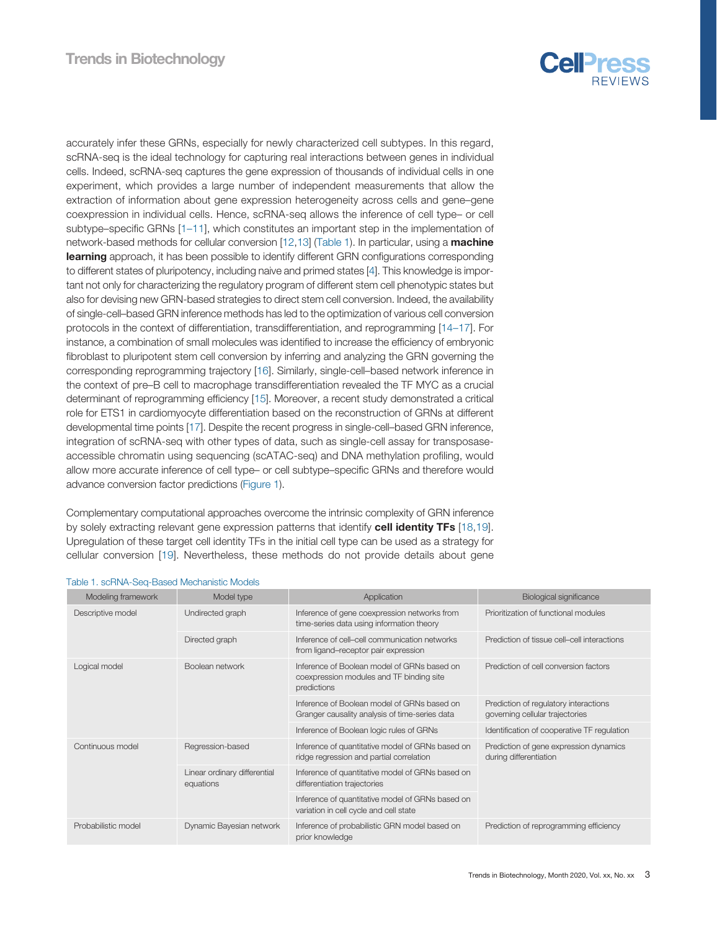

<span id="page-2-0"></span>accurately infer these GRNs, especially for newly characterized cell subtypes. In this regard, scRNA-seq is the ideal technology for capturing real interactions between genes in individual cells. Indeed, scRNA-seq captures the gene expression of thousands of individual cells in one experiment, which provides a large number of independent measurements that allow the extraction of information about gene expression heterogeneity across cells and gene–gene coexpression in individual cells. Hence, scRNA-seq allows the inference of cell type– or cell subtype–specific GRNs [1–[11](#page-9-0)], which constitutes an important step in the implementation of network-based methods for cellular conversion [[12,13\]](#page-9-0) (Table 1). In particular, using a machine learning approach, it has been possible to identify different GRN configurations corresponding to different states of pluripotency, including naive and primed states [[4](#page-9-0)]. This knowledge is important not only for characterizing the regulatory program of different stem cell phenotypic states but also for devising new GRN-based strategies to direct stem cell conversion. Indeed, the availability of single-cell–based GRN inference methods has led to the optimization of various cell conversion protocols in the context of differentiation, transdifferentiation, and reprogramming [14–[17\]](#page-9-0). For instance, a combination of small molecules was identified to increase the efficiency of embryonic fibroblast to pluripotent stem cell conversion by inferring and analyzing the GRN governing the corresponding reprogramming trajectory [\[16](#page-9-0)]. Similarly, single-cell–based network inference in the context of pre–B cell to macrophage transdifferentiation revealed the TF MYC as a crucial determinant of reprogramming efficiency [[15\]](#page-9-0). Moreover, a recent study demonstrated a critical role for ETS1 in cardiomyocyte differentiation based on the reconstruction of GRNs at different developmental time points [[17\]](#page-9-0). Despite the recent progress in single-cell–based GRN inference, integration of scRNA-seq with other types of data, such as single-cell assay for transposaseaccessible chromatin using sequencing (scATAC-seq) and DNA methylation profiling, would allow more accurate inference of cell type– or cell subtype–specific GRNs and therefore would advance conversion factor predictions [\(Figure 1](#page-3-0)).

Complementary computational approaches overcome the intrinsic complexity of GRN inference by solely extracting relevant gene expression patterns that identify cell identity TFs [[18](#page-9-0),[19\]](#page-9-0). Upregulation of these target cell identity TFs in the initial cell type can be used as a strategy for cellular conversion [[19](#page-9-0)]. Nevertheless, these methods do not provide details about gene

| Modeling framework  | Model type                                | Application                                                                                            | Biological significance                                                  |
|---------------------|-------------------------------------------|--------------------------------------------------------------------------------------------------------|--------------------------------------------------------------------------|
| Descriptive model   | Undirected graph                          | Inference of gene coexpression networks from<br>time-series data using information theory              | Prioritization of functional modules                                     |
|                     | Directed graph                            | Inference of cell-cell communication networks<br>from ligand-receptor pair expression                  | Prediction of tissue cell-cell interactions                              |
| Logical model       | Boolean network                           | Inference of Boolean model of GRNs based on<br>coexpression modules and TF binding site<br>predictions | Prediction of cell conversion factors                                    |
|                     |                                           | Inference of Boolean model of GRNs based on<br>Granger causality analysis of time-series data          | Prediction of regulatory interactions<br>governing cellular trajectories |
|                     |                                           | Inference of Boolean logic rules of GRNs                                                               | Identification of cooperative TF regulation                              |
| Continuous model    | Regression-based                          | Inference of quantitative model of GRNs based on<br>ridge regression and partial correlation           | Prediction of gene expression dynamics<br>during differentiation         |
|                     | Linear ordinary differential<br>equations | Inference of quantitative model of GRNs based on<br>differentiation trajectories                       |                                                                          |
|                     |                                           | Inference of quantitative model of GRNs based on<br>variation in cell cycle and cell state             |                                                                          |
| Probabilistic model | Dynamic Bayesian network                  | Inference of probabilistic GRN model based on<br>prior knowledge                                       | Prediction of reprogramming efficiency                                   |

## Table 1. scRNA-Seq-Based Mechanistic Models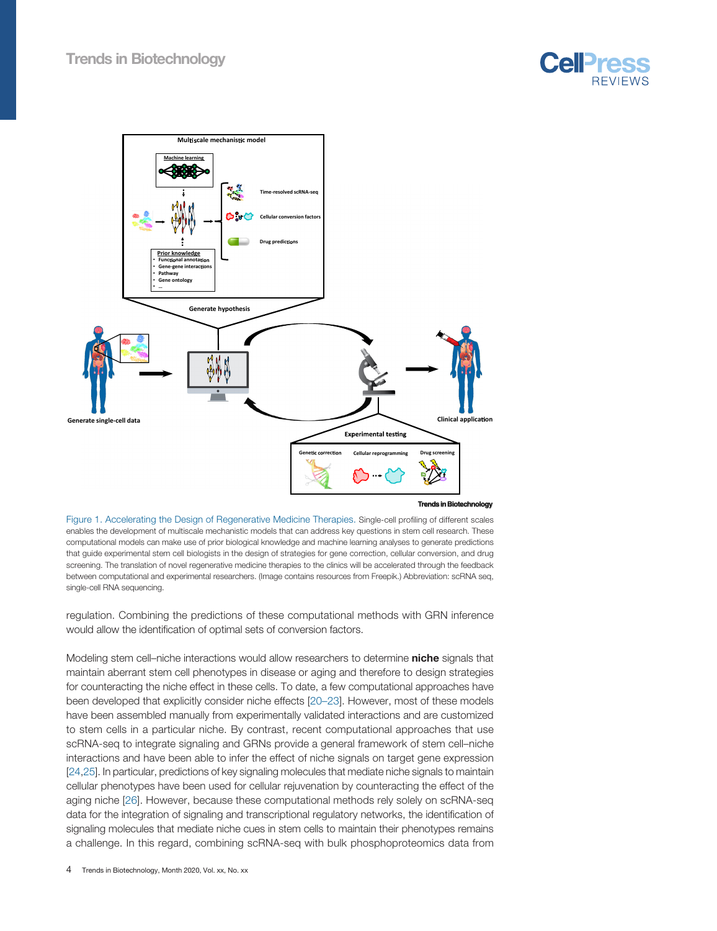

<span id="page-3-0"></span>

Figure 1. Accelerating the Design of Regenerative Medicine Therapies. Single-cell profiling of different scales enables the development of multiscale mechanistic models that can address key questions in stem cell research. These computational models can make use of prior biological knowledge and machine learning analyses to generate predictions that guide experimental stem cell biologists in the design of strategies for gene correction, cellular conversion, and drug screening. The translation of novel regenerative medicine therapies to the clinics will be accelerated through the feedback between computational and experimental researchers. (Image contains resources from Freepik.) Abbreviation: scRNA seq, single-cell RNA sequencing.

regulation. Combining the predictions of these computational methods with GRN inference would allow the identification of optimal sets of conversion factors.

Modeling stem cell–niche interactions would allow researchers to determine niche signals that maintain aberrant stem cell phenotypes in disease or aging and therefore to design strategies for counteracting the niche effect in these cells. To date, a few computational approaches have been developed that explicitly consider niche effects [20–[23\]](#page-9-0). However, most of these models have been assembled manually from experimentally validated interactions and are customized to stem cells in a particular niche. By contrast, recent computational approaches that use scRNA-seq to integrate signaling and GRNs provide a general framework of stem cell–niche interactions and have been able to infer the effect of niche signals on target gene expression [[24,25](#page-9-0)]. In particular, predictions of key signaling molecules that mediate niche signals to maintain cellular phenotypes have been used for cellular rejuvenation by counteracting the effect of the aging niche [\[26](#page-9-0)]. However, because these computational methods rely solely on scRNA-seq data for the integration of signaling and transcriptional regulatory networks, the identification of signaling molecules that mediate niche cues in stem cells to maintain their phenotypes remains a challenge. In this regard, combining scRNA-seq with bulk phosphoproteomics data from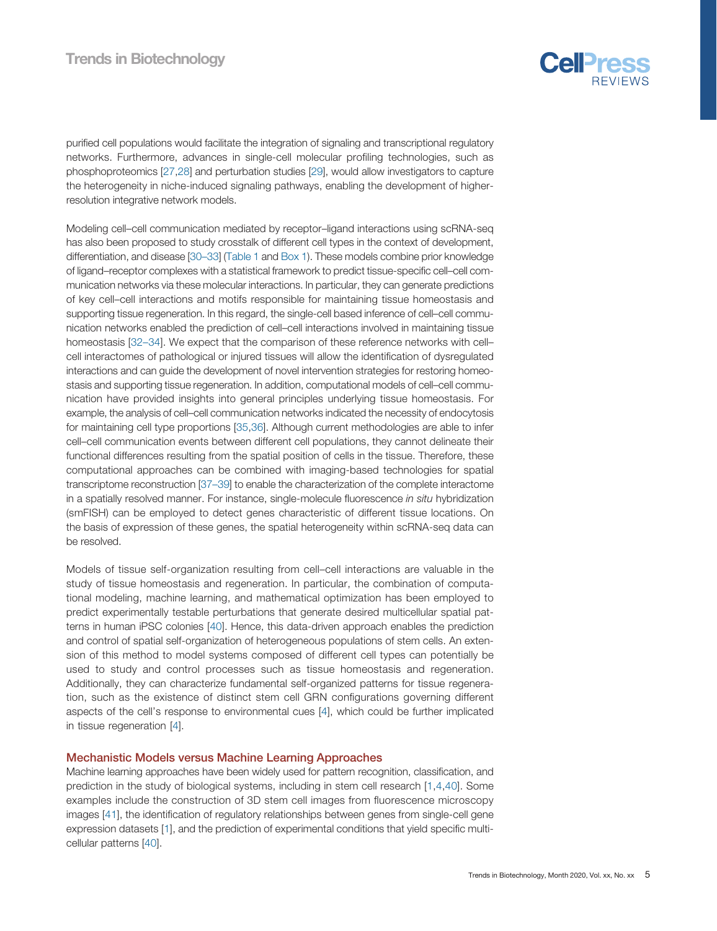## Trends in Biotechnology



purified cell populations would facilitate the integration of signaling and transcriptional regulatory networks. Furthermore, advances in single-cell molecular profiling technologies, such as phosphoproteomics [\[27](#page-9-0),[28\]](#page-9-0) and perturbation studies [[29\]](#page-9-0), would allow investigators to capture the heterogeneity in niche-induced signaling pathways, enabling the development of higherresolution integrative network models.

Modeling cell–cell communication mediated by receptor–ligand interactions using scRNA-seq has also been proposed to study crosstalk of different cell types in the context of development, differentiation, and disease [[30](#page-9-0)–33] [\(Table 1](#page-2-0) and [Box 1\)](#page-1-0). These models combine prior knowledge of ligand–receptor complexes with a statistical framework to predict tissue-specific cell–cell communication networks via these molecular interactions. In particular, they can generate predictions of key cell–cell interactions and motifs responsible for maintaining tissue homeostasis and supporting tissue regeneration. In this regard, the single-cell based inference of cell–cell communication networks enabled the prediction of cell–cell interactions involved in maintaining tissue homeostasis [\[32](#page-9-0)–34]. We expect that the comparison of these reference networks with cell– cell interactomes of pathological or injured tissues will allow the identification of dysregulated interactions and can guide the development of novel intervention strategies for restoring homeostasis and supporting tissue regeneration. In addition, computational models of cell–cell communication have provided insights into general principles underlying tissue homeostasis. For example, the analysis of cell–cell communication networks indicated the necessity of endocytosis for maintaining cell type proportions [[35,36](#page-9-0)]. Although current methodologies are able to infer cell–cell communication events between different cell populations, they cannot delineate their functional differences resulting from the spatial position of cells in the tissue. Therefore, these computational approaches can be combined with imaging-based technologies for spatial transcriptome reconstruction [[37](#page-9-0)–39] to enable the characterization of the complete interactome in a spatially resolved manner. For instance, single-molecule fluorescence in situ hybridization (smFISH) can be employed to detect genes characteristic of different tissue locations. On the basis of expression of these genes, the spatial heterogeneity within scRNA-seq data can be resolved.

Models of tissue self-organization resulting from cell–cell interactions are valuable in the study of tissue homeostasis and regeneration. In particular, the combination of computational modeling, machine learning, and mathematical optimization has been employed to predict experimentally testable perturbations that generate desired multicellular spatial patterns in human iPSC colonies [[40\]](#page-9-0). Hence, this data-driven approach enables the prediction and control of spatial self-organization of heterogeneous populations of stem cells. An extension of this method to model systems composed of different cell types can potentially be used to study and control processes such as tissue homeostasis and regeneration. Additionally, they can characterize fundamental self-organized patterns for tissue regeneration, such as the existence of distinct stem cell GRN configurations governing different aspects of the cell's response to environmental cues [\[4\]](#page-9-0), which could be further implicated in tissue regeneration [\[4](#page-9-0)].

## Mechanistic Models versus Machine Learning Approaches

Machine learning approaches have been widely used for pattern recognition, classification, and prediction in the study of biological systems, including in stem cell research [\[1](#page-9-0),[4](#page-9-0),[40\]](#page-9-0). Some examples include the construction of 3D stem cell images from fluorescence microscopy images [\[41](#page-9-0)], the identification of regulatory relationships between genes from single-cell gene expression datasets [[1\]](#page-9-0), and the prediction of experimental conditions that yield specific multicellular patterns [[40\]](#page-9-0).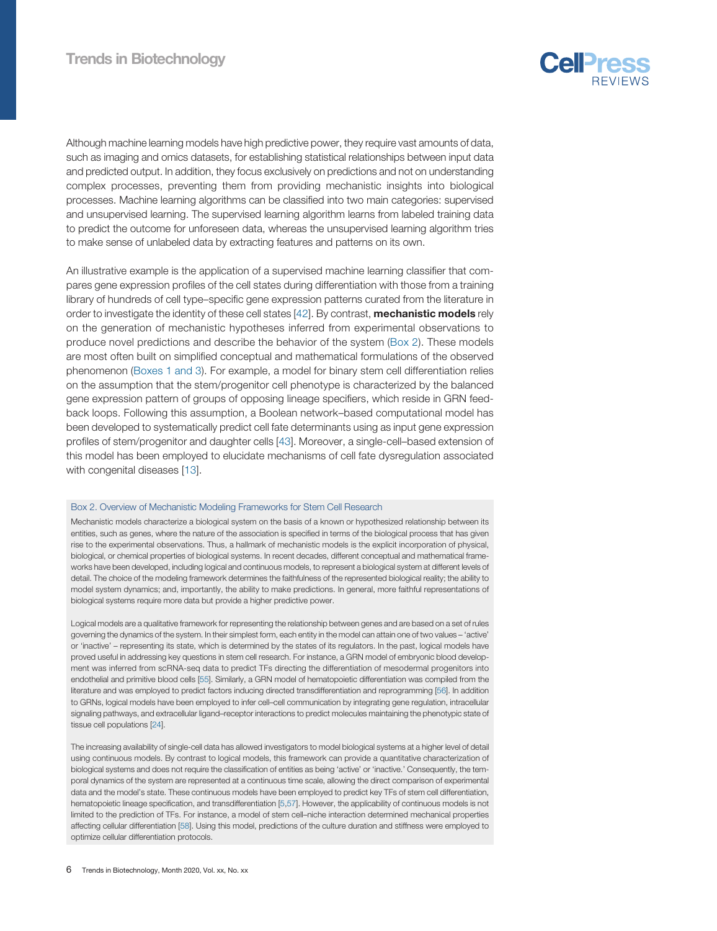

Although machine learning models have high predictive power, they require vast amounts of data, such as imaging and omics datasets, for establishing statistical relationships between input data and predicted output. In addition, they focus exclusively on predictions and not on understanding complex processes, preventing them from providing mechanistic insights into biological processes. Machine learning algorithms can be classified into two main categories: supervised and unsupervised learning. The supervised learning algorithm learns from labeled training data to predict the outcome for unforeseen data, whereas the unsupervised learning algorithm tries to make sense of unlabeled data by extracting features and patterns on its own.

An illustrative example is the application of a supervised machine learning classifier that compares gene expression profiles of the cell states during differentiation with those from a training library of hundreds of cell type–specific gene expression patterns curated from the literature in order to investigate the identity of these cell states [\[42](#page-9-0)]. By contrast, mechanistic models rely on the generation of mechanistic hypotheses inferred from experimental observations to produce novel predictions and describe the behavior of the system (Box 2). These models are most often built on simplified conceptual and mathematical formulations of the observed phenomenon [\(Boxes 1 and 3\)](#page-1-0). For example, a model for binary stem cell differentiation relies on the assumption that the stem/progenitor cell phenotype is characterized by the balanced gene expression pattern of groups of opposing lineage specifiers, which reside in GRN feedback loops. Following this assumption, a Boolean network–based computational model has been developed to systematically predict cell fate determinants using as input gene expression profiles of stem/progenitor and daughter cells [[43\]](#page-9-0). Moreover, a single-cell–based extension of this model has been employed to elucidate mechanisms of cell fate dysregulation associated with congenital diseases [\[13](#page-9-0)].

### Box 2. Overview of Mechanistic Modeling Frameworks for Stem Cell Research

Mechanistic models characterize a biological system on the basis of a known or hypothesized relationship between its entities, such as genes, where the nature of the association is specified in terms of the biological process that has given rise to the experimental observations. Thus, a hallmark of mechanistic models is the explicit incorporation of physical, biological, or chemical properties of biological systems. In recent decades, different conceptual and mathematical frameworks have been developed, including logical and continuous models, to represent a biological system at different levels of detail. The choice of the modeling framework determines the faithfulness of the represented biological reality; the ability to model system dynamics; and, importantly, the ability to make predictions. In general, more faithful representations of biological systems require more data but provide a higher predictive power.

Logical models are a qualitative framework for representing the relationship between genes and are based on a set of rules governing the dynamics of the system. In their simplest form, each entity in the model can attain one of two values – 'active' or 'inactive' – representing its state, which is determined by the states of its regulators. In the past, logical models have proved useful in addressing key questions in stem cell research. For instance, a GRN model of embryonic blood development was inferred from scRNA-seq data to predict TFs directing the differentiation of mesodermal progenitors into endothelial and primitive blood cells [\[55\]](#page-10-0). Similarly, a GRN model of hematopoietic differentiation was compiled from the literature and was employed to predict factors inducing directed transdifferentiation and reprogramming [[56](#page-10-0)]. In addition to GRNs, logical models have been employed to infer cell–cell communication by integrating gene regulation, intracellular signaling pathways, and extracellular ligand–receptor interactions to predict molecules maintaining the phenotypic state of tissue cell populations [\[24\]](#page-9-0).

The increasing availability of single-cell data has allowed investigators to model biological systems at a higher level of detail using continuous models. By contrast to logical models, this framework can provide a quantitative characterization of biological systems and does not require the classification of entities as being 'active' or 'inactive.' Consequently, the temporal dynamics of the system are represented at a continuous time scale, allowing the direct comparison of experimental data and the model's state. These continuous models have been employed to predict key TFs of stem cell differentiation, hematopoietic lineage specification, and transdifferentiation [[5](#page-9-0)[,57](#page-10-0)]. However, the applicability of continuous models is not limited to the prediction of TFs. For instance, a model of stem cell–niche interaction determined mechanical properties affecting cellular differentiation [[58](#page-10-0)]. Using this model, predictions of the culture duration and stiffness were employed to optimize cellular differentiation protocols.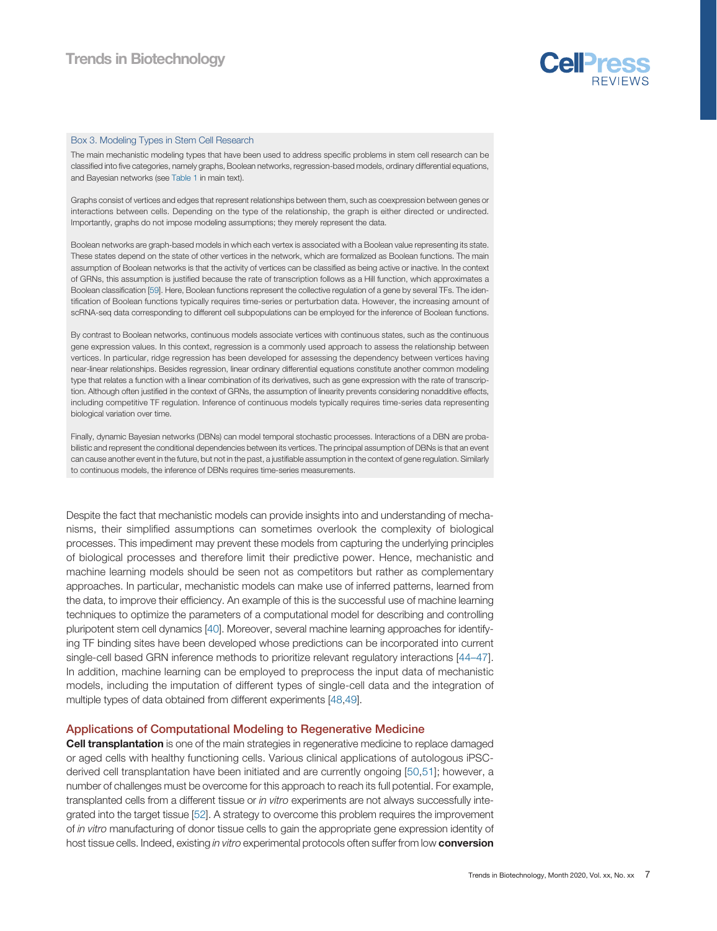

## Box 3. Modeling Types in Stem Cell Research

The main mechanistic modeling types that have been used to address specific problems in stem cell research can be classified into five categories, namely graphs, Boolean networks, regression-based models, ordinary differential equations, and Bayesian networks (see [Table 1](#page-2-0) in main text).

Graphs consist of vertices and edges that represent relationships between them, such as coexpression between genes or interactions between cells. Depending on the type of the relationship, the graph is either directed or undirected. Importantly, graphs do not impose modeling assumptions; they merely represent the data.

Boolean networks are graph-based models in which each vertex is associated with a Boolean value representing its state. These states depend on the state of other vertices in the network, which are formalized as Boolean functions. The main assumption of Boolean networks is that the activity of vertices can be classified as being active or inactive. In the context of GRNs, this assumption is justified because the rate of transcription follows as a Hill function, which approximates a Boolean classification [\[59\]](#page-10-0). Here, Boolean functions represent the collective regulation of a gene by several TFs. The identification of Boolean functions typically requires time-series or perturbation data. However, the increasing amount of scRNA-seq data corresponding to different cell subpopulations can be employed for the inference of Boolean functions.

By contrast to Boolean networks, continuous models associate vertices with continuous states, such as the continuous gene expression values. In this context, regression is a commonly used approach to assess the relationship between vertices. In particular, ridge regression has been developed for assessing the dependency between vertices having near-linear relationships. Besides regression, linear ordinary differential equations constitute another common modeling type that relates a function with a linear combination of its derivatives, such as gene expression with the rate of transcription. Although often justified in the context of GRNs, the assumption of linearity prevents considering nonadditive effects, including competitive TF regulation. Inference of continuous models typically requires time-series data representing biological variation over time.

Finally, dynamic Bayesian networks (DBNs) can model temporal stochastic processes. Interactions of a DBN are probabilistic and represent the conditional dependencies between its vertices. The principal assumption of DBNs is that an event can cause another event in the future, but not in the past, a justifiable assumption in the context of gene regulation. Similarly to continuous models, the inference of DBNs requires time-series measurements.

Despite the fact that mechanistic models can provide insights into and understanding of mechanisms, their simplified assumptions can sometimes overlook the complexity of biological processes. This impediment may prevent these models from capturing the underlying principles of biological processes and therefore limit their predictive power. Hence, mechanistic and machine learning models should be seen not as competitors but rather as complementary approaches. In particular, mechanistic models can make use of inferred patterns, learned from the data, to improve their efficiency. An example of this is the successful use of machine learning techniques to optimize the parameters of a computational model for describing and controlling pluripotent stem cell dynamics [\[40](#page-9-0)]. Moreover, several machine learning approaches for identifying TF binding sites have been developed whose predictions can be incorporated into current single-cell based GRN inference methods to prioritize relevant regulatory interactions [44–[47\]](#page-9-0). In addition, machine learning can be employed to preprocess the input data of mechanistic models, including the imputation of different types of single-cell data and the integration of multiple types of data obtained from different experiments [\[48,49](#page-9-0)].

## Applications of Computational Modeling to Regenerative Medicine

**Cell transplantation** is one of the main strategies in regenerative medicine to replace damaged or aged cells with healthy functioning cells. Various clinical applications of autologous iPSCderived cell transplantation have been initiated and are currently ongoing [[50,51](#page-9-0)]; however, a number of challenges must be overcome for this approach to reach its full potential. For example, transplanted cells from a different tissue or in vitro experiments are not always successfully integrated into the target tissue [\[52](#page-10-0)]. A strategy to overcome this problem requires the improvement of in vitro manufacturing of donor tissue cells to gain the appropriate gene expression identity of host tissue cells. Indeed, existing in vitro experimental protocols often suffer from low conversion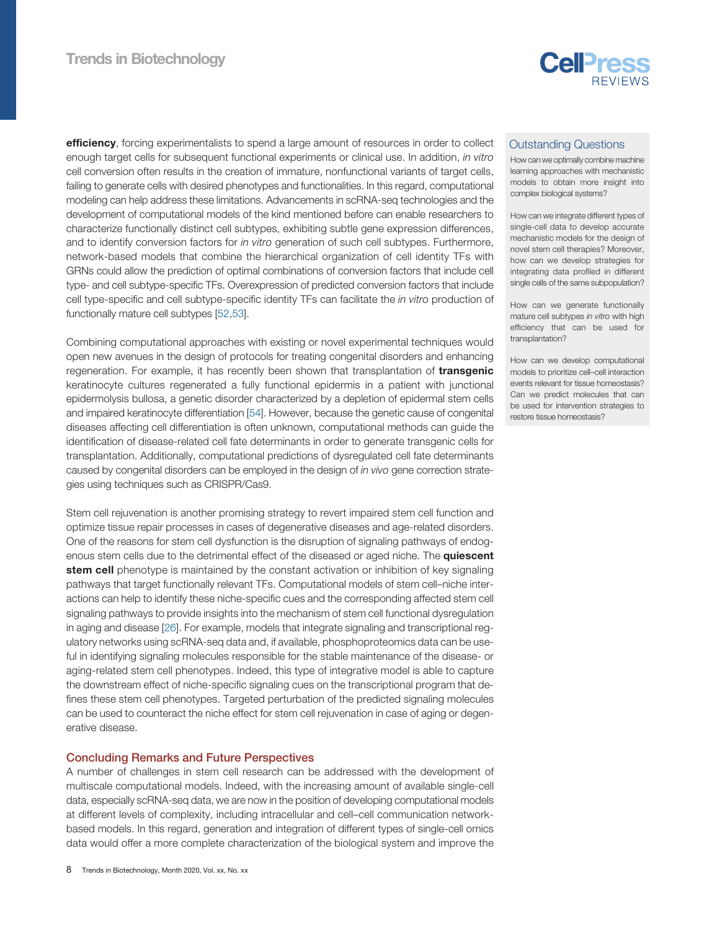

efficiency, forcing experimentalists to spend a large amount of resources in order to collect enough target cells for subsequent functional experiments or clinical use. In addition, in vitro cell conversion often results in the creation of immature, nonfunctional variants of target cells, failing to generate cells with desired phenotypes and functionalities. In this regard, computational modeling can help address these limitations. Advancements in scRNA-seq technologies and the development of computational models of the kind mentioned before can enable researchers to characterize functionally distinct cell subtypes, exhibiting subtle gene expression differences, and to identify conversion factors for in vitro generation of such cell subtypes. Furthermore, network-based models that combine the hierarchical organization of cell identity TFs with GRNs could allow the prediction of optimal combinations of conversion factors that include cell type- and cell subtype-specific TFs. Overexpression of predicted conversion factors that include cell type-specific and cell subtype-specific identity TFs can facilitate the in vitro production of functionally mature cell subtypes [\[52,53](#page-10-0)].

Combining computational approaches with existing or novel experimental techniques would open new avenues in the design of protocols for treating congenital disorders and enhancing regeneration. For example, it has recently been shown that transplantation of **transgenic** keratinocyte cultures regenerated a fully functional epidermis in a patient with junctional epidermolysis bullosa, a genetic disorder characterized by a depletion of epidermal stem cells and impaired keratinocyte differentiation [[54\]](#page-10-0). However, because the genetic cause of congenital diseases affecting cell differentiation is often unknown, computational methods can guide the identification of disease-related cell fate determinants in order to generate transgenic cells for transplantation. Additionally, computational predictions of dysregulated cell fate determinants caused by congenital disorders can be employed in the design of in vivo gene correction strategies using techniques such as CRISPR/Cas9.

Stem cell rejuvenation is another promising strategy to revert impaired stem cell function and optimize tissue repair processes in cases of degenerative diseases and age-related disorders. One of the reasons for stem cell dysfunction is the disruption of signaling pathways of endogenous stem cells due to the detrimental effect of the diseased or aged niche. The **quiescent stem cell** phenotype is maintained by the constant activation or inhibition of key signaling pathways that target functionally relevant TFs. Computational models of stem cell–niche interactions can help to identify these niche-specific cues and the corresponding affected stem cell signaling pathways to provide insights into the mechanism of stem cell functional dysregulation in aging and disease [\[26](#page-9-0)]. For example, models that integrate signaling and transcriptional regulatory networks using scRNA-seq data and, if available, phosphoproteomics data can be useful in identifying signaling molecules responsible for the stable maintenance of the disease- or aging-related stem cell phenotypes. Indeed, this type of integrative model is able to capture the downstream effect of niche-specific signaling cues on the transcriptional program that defines these stem cell phenotypes. Targeted perturbation of the predicted signaling molecules can be used to counteract the niche effect for stem cell rejuvenation in case of aging or degenerative disease.

## Concluding Remarks and Future Perspectives

A number of challenges in stem cell research can be addressed with the development of multiscale computational models. Indeed, with the increasing amount of available single-cell data, especially scRNA-seq data, we are now in the position of developing computational models at different levels of complexity, including intracellular and cell–cell communication networkbased models. In this regard, generation and integration of different types of single-cell omics data would offer a more complete characterization of the biological system and improve the

## Outstanding Questions

How can we optimally combine machine learning approaches with mechanistic models to obtain more insight into complex biological systems?

How can we integrate different types of single-cell data to develop accurate mechanistic models for the design of novel stem cell therapies? Moreover, how can we develop strategies for integrating data profiled in different single cells of the same subpopulation?

How can we generate functionally mature cell subtypes in vitro with high efficiency that can be used for transplantation?

How can we develop computational models to prioritize cell–cell interaction events relevant for tissue homeostasis? Can we predict molecules that can be used for intervention strategies to restore tissue homeostasis?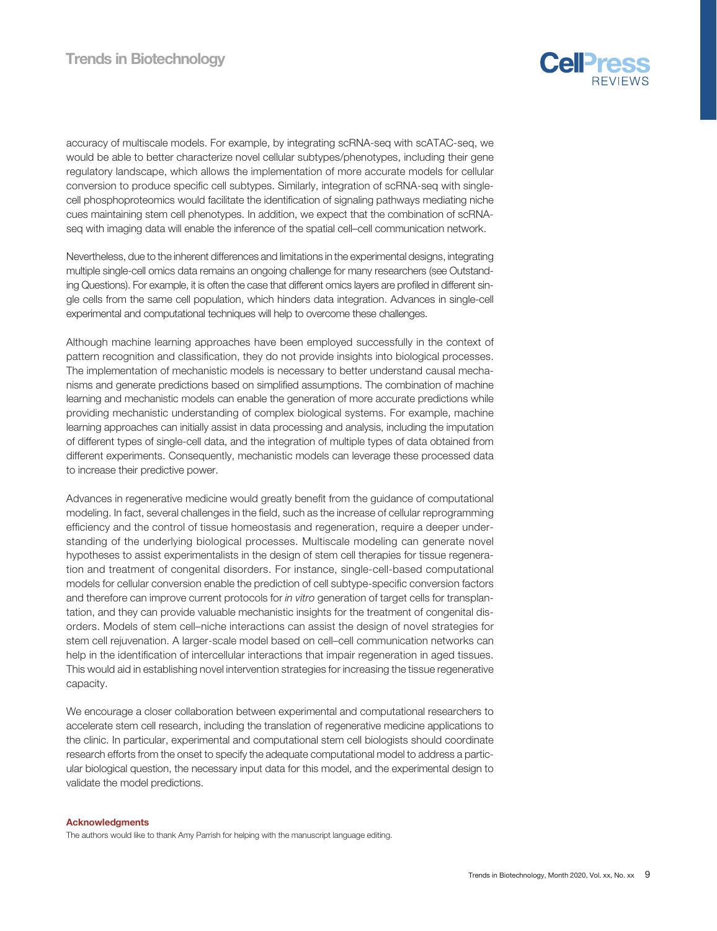

accuracy of multiscale models. For example, by integrating scRNA-seq with scATAC-seq, we would be able to better characterize novel cellular subtypes/phenotypes, including their gene regulatory landscape, which allows the implementation of more accurate models for cellular conversion to produce specific cell subtypes. Similarly, integration of scRNA-seq with singlecell phosphoproteomics would facilitate the identification of signaling pathways mediating niche cues maintaining stem cell phenotypes. In addition, we expect that the combination of scRNAseq with imaging data will enable the inference of the spatial cell–cell communication network.

Nevertheless, due to the inherent differences and limitations in the experimental designs, integrating multiple single-cell omics data remains an ongoing challenge for many researchers (see Outstanding Questions). For example, it is often the case that different omics layers are profiled in different single cells from the same cell population, which hinders data integration. Advances in single-cell experimental and computational techniques will help to overcome these challenges.

Although machine learning approaches have been employed successfully in the context of pattern recognition and classification, they do not provide insights into biological processes. The implementation of mechanistic models is necessary to better understand causal mechanisms and generate predictions based on simplified assumptions. The combination of machine learning and mechanistic models can enable the generation of more accurate predictions while providing mechanistic understanding of complex biological systems. For example, machine learning approaches can initially assist in data processing and analysis, including the imputation of different types of single-cell data, and the integration of multiple types of data obtained from different experiments. Consequently, mechanistic models can leverage these processed data to increase their predictive power.

Advances in regenerative medicine would greatly benefit from the guidance of computational modeling. In fact, several challenges in the field, such as the increase of cellular reprogramming efficiency and the control of tissue homeostasis and regeneration, require a deeper understanding of the underlying biological processes. Multiscale modeling can generate novel hypotheses to assist experimentalists in the design of stem cell therapies for tissue regeneration and treatment of congenital disorders. For instance, single-cell-based computational models for cellular conversion enable the prediction of cell subtype-specific conversion factors and therefore can improve current protocols for in vitro generation of target cells for transplantation, and they can provide valuable mechanistic insights for the treatment of congenital disorders. Models of stem cell–niche interactions can assist the design of novel strategies for stem cell rejuvenation. A larger-scale model based on cell–cell communication networks can help in the identification of intercellular interactions that impair regeneration in aged tissues. This would aid in establishing novel intervention strategies for increasing the tissue regenerative capacity.

We encourage a closer collaboration between experimental and computational researchers to accelerate stem cell research, including the translation of regenerative medicine applications to the clinic. In particular, experimental and computational stem cell biologists should coordinate research efforts from the onset to specify the adequate computational model to address a particular biological question, the necessary input data for this model, and the experimental design to validate the model predictions.

## Acknowledgments

The authors would like to thank Amy Parrish for helping with the manuscript language editing.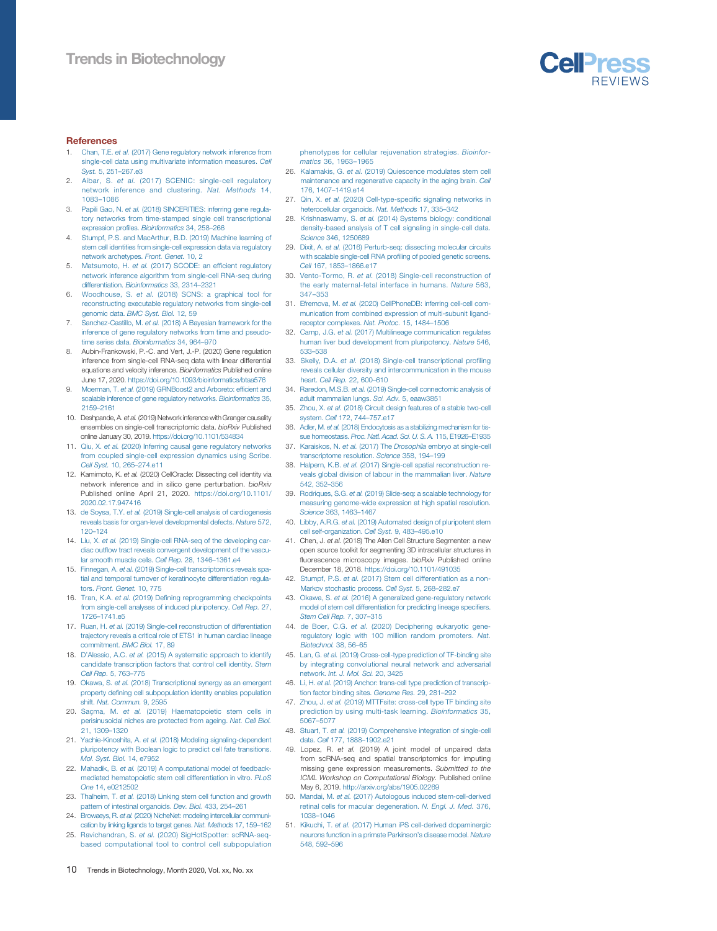

#### <span id="page-9-0"></span>**References**

- 1. Chan, T.E. et al. [\(2017\) Gene regulatory network inference from](http://refhub.elsevier.com/S0167-7799(20)30201-8/rf0005) [single-cell data using multivariate information measures.](http://refhub.elsevier.com/S0167-7799(20)30201-8/rf0005) Cell Syst. 5, 251–[267.e3](http://refhub.elsevier.com/S0167-7799(20)30201-8/rf0005)
- 2. Aibar, S. et al. [\(2017\) SCENIC: single-cell regulatory](http://refhub.elsevier.com/S0167-7799(20)30201-8/rf0010) [network inference and clustering.](http://refhub.elsevier.com/S0167-7799(20)30201-8/rf0010) Nat. Methods 14, 1083–[1086](http://refhub.elsevier.com/S0167-7799(20)30201-8/rf0010)
- 3. Papili Gao, N. et al. [\(2018\) SINCERITIES: inferring gene regula](http://refhub.elsevier.com/S0167-7799(20)30201-8/rf0015)[tory networks from time-stamped single cell transcriptional](http://refhub.elsevier.com/S0167-7799(20)30201-8/rf0015) [expression pro](http://refhub.elsevier.com/S0167-7799(20)30201-8/rf0015)files. Bioinformatics 34, 258–266
- 4. [Stumpf, P.S. and MacArthur, B.D. \(2019\) Machine learning of](http://refhub.elsevier.com/S0167-7799(20)30201-8/rf0020) [stem cell identities from single-cell expression data via regulatory](http://refhub.elsevier.com/S0167-7799(20)30201-8/rf0020) [network archetypes.](http://refhub.elsevier.com/S0167-7799(20)30201-8/rf0020) Front. Genet. 10, 2
- 5. Matsumoto, H. et al. [\(2017\) SCODE: an ef](http://refhub.elsevier.com/S0167-7799(20)30201-8/rf0025)ficient regulatory [network inference algorithm from single-cell RNA-seq during](http://refhub.elsevier.com/S0167-7799(20)30201-8/rf0025) differentiation. [Bioinformatics](http://refhub.elsevier.com/S0167-7799(20)30201-8/rf0025) 33, 2314-2321
- 6. Woodhouse, S. et al. [\(2018\) SCNS: a graphical tool for](http://refhub.elsevier.com/S0167-7799(20)30201-8/rf0030) [reconstructing executable regulatory networks from single-cell](http://refhub.elsevier.com/S0167-7799(20)30201-8/rf0030) genomic data. [BMC Syst. Biol.](http://refhub.elsevier.com/S0167-7799(20)30201-8/rf0030) 12, 59
- 7. Sanchez-Castillo, M. et al. [\(2018\) A Bayesian framework for the](http://refhub.elsevier.com/S0167-7799(20)30201-8/rf0035) [inference of gene regulatory networks from time and pseudo](http://refhub.elsevier.com/S0167-7799(20)30201-8/rf0035)[time series data.](http://refhub.elsevier.com/S0167-7799(20)30201-8/rf0035) Bioinformatics 34, 964-970
- 8. Aubin-Frankowski, P.-C. and Vert, J.-P. (2020) Gene regulation inference from single-cell RNA-seq data with linear differential equations and velocity inference. Bioinformatics Published online June 17, 2020. <https://doi.org/10.1093/bioinformatics/btaa576>
- 9. Moerman, T. et al. [\(2019\) GRNBoost2 and Arboreto: ef](http://refhub.elsevier.com/S0167-7799(20)30201-8/rf0045)ficient and [scalable inference of gene regulatory networks.](http://refhub.elsevier.com/S0167-7799(20)30201-8/rf0045) Bioinformatics 35, 2159–[2161](http://refhub.elsevier.com/S0167-7799(20)30201-8/rf0045)
- 10. Deshpande, A. et al. (2019) Network inference with Granger causality ensembles on single-cell transcriptomic data. bioRxiv Published online January 30, 2019. <https://doi.org/10.1101/534834>
- 11. Qiu, X. et al. [\(2020\) Inferring causal gene regulatory networks](http://refhub.elsevier.com/S0167-7799(20)30201-8/rf0055) [from coupled single-cell expression dynamics using Scribe.](http://refhub.elsevier.com/S0167-7799(20)30201-8/rf0055) [Cell Syst.](http://refhub.elsevier.com/S0167-7799(20)30201-8/rf0055) 10, 265–274.e11
- 12. Kamimoto, K. et al. (2020) CellOracle: Dissecting cell identity via network inference and in silico gene perturbation. bioRxiv Published online April 21, 2020. [https://doi.org/10.1101/](https://doi.org/10.1101/2020.02.17.947416) [2020.02.17.947416](https://doi.org/10.1101/2020.02.17.947416)
- 13. de Soysa, T.Y. et al. [\(2019\) Single-cell analysis of cardiogenesis](http://refhub.elsevier.com/S0167-7799(20)30201-8/rf0065) [reveals basis for organ-level developmental defects.](http://refhub.elsevier.com/S0167-7799(20)30201-8/rf0065) Nature 572, 120–[124](http://refhub.elsevier.com/S0167-7799(20)30201-8/rf0065)
- 14. Liu, X. et al. [\(2019\) Single-cell RNA-seq of the developing car](http://refhub.elsevier.com/S0167-7799(20)30201-8/rf0070)diac outfl[ow tract reveals convergent development of the vascu](http://refhub.elsevier.com/S0167-7799(20)30201-8/rf0070)[lar smooth muscle cells.](http://refhub.elsevier.com/S0167-7799(20)30201-8/rf0070) Cell Rep. 28, 1346–1361.e4
- 15. Finnegan, A. et al. [\(2019\) Single-cell transcriptomics reveals spa](http://refhub.elsevier.com/S0167-7799(20)30201-8/rf0075)[tial and temporal turnover of keratinocyte differentiation regula-](http://refhub.elsevier.com/S0167-7799(20)30201-8/rf0075)tors. [Front. Genet.](http://refhub.elsevier.com/S0167-7799(20)30201-8/rf0075) 10, 775
- 16. Tran, K.A. et al. (2019) Defi[ning reprogramming checkpoints](http://refhub.elsevier.com/S0167-7799(20)30201-8/rf0080) [from single-cell analyses of induced pluripotency.](http://refhub.elsevier.com/S0167-7799(20)30201-8/rf0080) Cell Rep. 27, 1726–[1741.e5](http://refhub.elsevier.com/S0167-7799(20)30201-8/rf0080)
- 17. Ruan, H. et al. [\(2019\) Single-cell reconstruction of differentiation](http://refhub.elsevier.com/S0167-7799(20)30201-8/rf0085) [trajectory reveals a critical role of ETS1 in human cardiac lineage](http://refhub.elsevier.com/S0167-7799(20)30201-8/rf0085) ommitment. BMC Biol. 17, 89
- 18. D'Alessio, A.C. et al. [\(2015\) A systematic approach to identify](http://refhub.elsevier.com/S0167-7799(20)30201-8/rf0090) [candidate transcription factors that control cell identity.](http://refhub.elsevier.com/S0167-7799(20)30201-8/rf0090) Stem [Cell Rep.](http://refhub.elsevier.com/S0167-7799(20)30201-8/rf0090) 5, 763–775
- 19. Okawa, S. et al. [\(2018\) Transcriptional synergy as an emergent](http://refhub.elsevier.com/S0167-7799(20)30201-8/rf0095) property defi[ning cell subpopulation identity enables population](http://refhub.elsevier.com/S0167-7799(20)30201-8/rf0095) shift. [Nat. Commun.](http://refhub.elsevier.com/S0167-7799(20)30201-8/rf0095) 9, 2595
- 20. Sacma, M. et al. [\(2019\) Haematopoietic stem cells in](http://refhub.elsevier.com/S0167-7799(20)30201-8/rf0100) [perisinusoidal niches are protected from ageing.](http://refhub.elsevier.com/S0167-7799(20)30201-8/rf0100) Nat. Cell Biol. [21, 1309](http://refhub.elsevier.com/S0167-7799(20)30201-8/rf0100)–1320
- 21. Yachie-Kinoshita, A. et al. [\(2018\) Modeling signaling-dependent](http://refhub.elsevier.com/S0167-7799(20)30201-8/rf0105) [pluripotency with Boolean logic to predict cell fate transitions.](http://refhub.elsevier.com/S0167-7799(20)30201-8/rf0105) [Mol. Syst. Biol.](http://refhub.elsevier.com/S0167-7799(20)30201-8/rf0105) 14, e7952
- 22. Mahadik, B. et al. (2019) A computational model of feedback [mediated hematopoietic stem cell differentiation in vitro.](http://refhub.elsevier.com/S0167-7799(20)30201-8/rf0110) PLoS One [14, e0212502](http://refhub.elsevier.com/S0167-7799(20)30201-8/rf0110)
- 23. Thalheim, T. et al. [\(2018\) Linking stem cell function and growth](http://refhub.elsevier.com/S0167-7799(20)30201-8/rf0115) [pattern of intestinal organoids.](http://refhub.elsevier.com/S0167-7799(20)30201-8/rf0115) Dev. Biol. 433, 254-261
- 24. Browaeys, R. et al. [\(2020\) NicheNet: modeling intercellular communi](http://refhub.elsevier.com/S0167-7799(20)30201-8/rf0120)[cation by linking ligands to target genes.](http://refhub.elsevier.com/S0167-7799(20)30201-8/rf0120) Nat. Methods 17, 159–162
- 25. Ravichandran, S. et al. [\(2020\) SigHotSpotter: scRNA-seq](http://refhub.elsevier.com/S0167-7799(20)30201-8/rf0125)[based computational tool to control cell subpopulation](http://refhub.elsevier.com/S0167-7799(20)30201-8/rf0125)

[phenotypes for cellular rejuvenation strategies.](http://refhub.elsevier.com/S0167-7799(20)30201-8/rf0125) Bioinformatics [36, 1963](http://refhub.elsevier.com/S0167-7799(20)30201-8/rf0125)–1965

- 26. Kalamakis, G. et al. [\(2019\) Quiescence modulates stem cell](http://refhub.elsevier.com/S0167-7799(20)30201-8/rf0130) [maintenance and regenerative capacity in the aging brain.](http://refhub.elsevier.com/S0167-7799(20)30201-8/rf0130) Cell [176, 1407](http://refhub.elsevier.com/S0167-7799(20)30201-8/rf0130)–1419.e14
- 27. Qin, X, et al. (2020) Cell-type-specifi[c signaling networks in](http://refhub.elsevier.com/S0167-7799(20)30201-8/rf0135) [heterocellular organoids.](http://refhub.elsevier.com/S0167-7799(20)30201-8/rf0135) Nat. Methods 17, 335–342
- 28. Krishnaswamy, S. et al. [\(2014\) Systems biology: conditional](http://refhub.elsevier.com/S0167-7799(20)30201-8/rf0140) [density-based analysis of T cell signaling in single-cell data.](http://refhub.elsevier.com/S0167-7799(20)30201-8/rf0140) Science [346, 1250689](http://refhub.elsevier.com/S0167-7799(20)30201-8/rf0140)
- 29. Dixit, A. et al. [\(2016\) Perturb-seq: dissecting molecular circuits](http://refhub.elsevier.com/S0167-7799(20)30201-8/rf0145) [with scalable single-cell RNA pro](http://refhub.elsevier.com/S0167-7799(20)30201-8/rf0145)filing of pooled genetic screens. Cell [167, 1853](http://refhub.elsevier.com/S0167-7799(20)30201-8/rf0145)–1866.e17
- 30. Vento-Tormo, R. et al. [\(2018\) Single-cell reconstruction of](http://refhub.elsevier.com/S0167-7799(20)30201-8/rf0150) [the early maternal-fetal interface in humans.](http://refhub.elsevier.com/S0167-7799(20)30201-8/rf0150) Nature 563, 347–[353](http://refhub.elsevier.com/S0167-7799(20)30201-8/rf0150)
- 31. Efremova, M. et al. [\(2020\) CellPhoneDB: inferring cell-cell com](http://refhub.elsevier.com/S0167-7799(20)30201-8/rf0155)[munication from combined expression of multi-subunit ligand](http://refhub.elsevier.com/S0167-7799(20)30201-8/rf0155)[receptor complexes.](http://refhub.elsevier.com/S0167-7799(20)30201-8/rf0155) Nat. Protoc. 15, 1484–1506
- 32. Camp, J.G. et al. [\(2017\) Multilineage communication regulates](http://refhub.elsevier.com/S0167-7799(20)30201-8/rf0160) [human liver bud development from pluripotency.](http://refhub.elsevier.com/S0167-7799(20)30201-8/rf0160) Nature 546, 533–[538](http://refhub.elsevier.com/S0167-7799(20)30201-8/rf0160)
- 33. Skelly, D.A. et al. [\(2018\) Single-cell transcriptional pro](http://refhub.elsevier.com/S0167-7799(20)30201-8/rf0165)filing [reveals cellular diversity and intercommunication in the mouse](http://refhub.elsevier.com/S0167-7799(20)30201-8/rf0165) heart. [Cell Rep.](http://refhub.elsevier.com/S0167-7799(20)30201-8/rf0165) 22, 600–610
- 34. Raredon, M.S.B. et al. [\(2019\) Single-cell connectomic analysis of](http://refhub.elsevier.com/S0167-7799(20)30201-8/rf0170) [adult mammalian lungs.](http://refhub.elsevier.com/S0167-7799(20)30201-8/rf0170) Sci. Adv. 5, eaaw3851
- 35. Zhou, X. et al. [\(2018\) Circuit design features of a stable two-cell](http://refhub.elsevier.com/S0167-7799(20)30201-8/rf0175) system. Cell [172, 744](http://refhub.elsevier.com/S0167-7799(20)30201-8/rf0175)–757.e17
- 36. Adler, M. et al. [\(2018\) Endocytosis as a stabilizing mechanism for tis-](http://refhub.elsevier.com/S0167-7799(20)30201-8/rf0180)sue homeostasis. [Proc. Natl. Acad. Sci. U. S. A.](http://refhub.elsevier.com/S0167-7799(20)30201-8/rf0180) 115, E1926-E1935
- 37. Karaiskos, N. et al. (2017) The Drosophila [embryo at single-cell](http://refhub.elsevier.com/S0167-7799(20)30201-8/rf0185) [transcriptome resolution.](http://refhub.elsevier.com/S0167-7799(20)30201-8/rf0185) Science 358, 194–199
- 38. Halpern, K.B. et al. [\(2017\) Single-cell spatial reconstruction re](http://refhub.elsevier.com/S0167-7799(20)30201-8/rf0190)[veals global division of labour in the mammalian liver.](http://refhub.elsevier.com/S0167-7799(20)30201-8/rf0190) Nature [542, 352](http://refhub.elsevier.com/S0167-7799(20)30201-8/rf0190)–356
- 39. Rodriques, S.G. et al. [\(2019\) Slide-seq: a scalable technology for](http://refhub.elsevier.com/S0167-7799(20)30201-8/rf0195) [measuring genome-wide expression at high spatial resolution.](http://refhub.elsevier.com/S0167-7799(20)30201-8/rf0195) Science [363, 1463](http://refhub.elsevier.com/S0167-7799(20)30201-8/rf0195)–1467
- 40. Libby, A.R.G. et al. [\(2019\) Automated design of pluripotent stem](http://refhub.elsevier.com/S0167-7799(20)30201-8/rf0200) [cell self-organization.](http://refhub.elsevier.com/S0167-7799(20)30201-8/rf0200) Cell Syst. 9, 483–495.e10
- 41. Chen, J. et al. (2018) The Allen Cell Structure Segmenter: a new open source toolkit for segmenting 3D intracellular structures in fluorescence microscopy images. bioRxiv Published online December 18, 2018. <https://doi.org/10.1101/491035>
- 42. Stumpf, P.S. et al. [\(2017\) Stem cell differentiation as a non-](http://refhub.elsevier.com/S0167-7799(20)30201-8/rf0210)[Markov stochastic process.](http://refhub.elsevier.com/S0167-7799(20)30201-8/rf0210) Cell Syst. 5, 268–282.e7
- 43. Okawa, S. et al. [\(2016\) A generalized gene-regulatory network](http://refhub.elsevier.com/S0167-7799(20)30201-8/rf0215) [model of stem cell differentiation for predicting lineage speci](http://refhub.elsevier.com/S0167-7799(20)30201-8/rf0215)fiers. [Stem Cell Rep.](http://refhub.elsevier.com/S0167-7799(20)30201-8/rf0215) 7, 307-315
- 44. de Boer, C.G. et al. [\(2020\) Deciphering eukaryotic gene](http://refhub.elsevier.com/S0167-7799(20)30201-8/rf0220)[regulatory logic with 100 million random promoters.](http://refhub.elsevier.com/S0167-7799(20)30201-8/rf0220) Nat. [Biotechnol.](http://refhub.elsevier.com/S0167-7799(20)30201-8/rf0220) 38, 56–65
- 45. Lan, G. et al. [\(2019\) Cross-cell-type prediction of TF-binding site](http://refhub.elsevier.com/S0167-7799(20)30201-8/rf0225) [by integrating convolutional neural network and adversarial](http://refhub.elsevier.com/S0167-7799(20)30201-8/rf0225) network. [Int. J. Mol. Sci.](http://refhub.elsevier.com/S0167-7799(20)30201-8/rf0225) 20, 3425
- 46. Li, H. et al. [\(2019\) Anchor: trans-cell type prediction of transcrip](http://refhub.elsevier.com/S0167-7799(20)30201-8/rf0230)[tion factor binding sites.](http://refhub.elsevier.com/S0167-7799(20)30201-8/rf0230) Genome Res. 29, 281–292
- 47. Zhou, J. et al. [\(2019\) MTTFsite: cross-cell type TF binding site](http://refhub.elsevier.com/S0167-7799(20)30201-8/rf0235) [prediction by using multi-task learning.](http://refhub.elsevier.com/S0167-7799(20)30201-8/rf0235) Bioinformatics 35, [5067](http://refhub.elsevier.com/S0167-7799(20)30201-8/rf0235)–5077
- 48. Stuart, T. et al. [\(2019\) Comprehensive integration of single-cell](http://refhub.elsevier.com/S0167-7799(20)30201-8/rf0240) data. Cell [177, 1888](http://refhub.elsevier.com/S0167-7799(20)30201-8/rf0240)–1902.e21
- 49. Lopez, R. et al. (2019) A joint model of unpaired data from scRNA-seq and spatial transcriptomics for imputing missing gene expression measurements. Submitted to the ICML Workshop on Computational Biology. Published online May 6, 2019. <http://arxiv.org/abs/1905.02269>
- 50. Mandai, M. et al. [\(2017\) Autologous induced stem-cell-derived](http://refhub.elsevier.com/S0167-7799(20)30201-8/rf0250) [retinal cells for macular degeneration.](http://refhub.elsevier.com/S0167-7799(20)30201-8/rf0250) N. Engl. J. Med. 376, 1038–[1046](http://refhub.elsevier.com/S0167-7799(20)30201-8/rf0250)
- 51. Kikuchi, T. et al. [\(2017\) Human iPS cell-derived dopaminergic](http://refhub.elsevier.com/S0167-7799(20)30201-8/rf0255) [neurons function in a primate Parkinson](http://refhub.elsevier.com/S0167-7799(20)30201-8/rf0255)'s disease model. Nature [548, 592](http://refhub.elsevier.com/S0167-7799(20)30201-8/rf0255)–596
- 10 Trends in Biotechnology, Month 2020, Vol. xx, No. xx